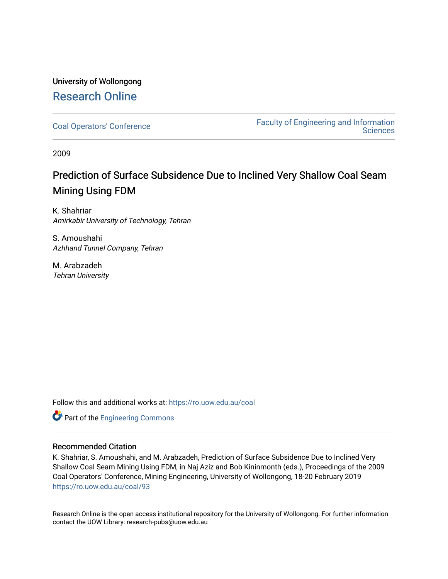## University of Wollongong [Research Online](https://ro.uow.edu.au/)

[Coal Operators' Conference](https://ro.uow.edu.au/coal) [Faculty of Engineering and Information](https://ro.uow.edu.au/eis)  **Sciences** 

2009

# Prediction of Surface Subsidence Due to Inclined Very Shallow Coal Seam Mining Using FDM

K. Shahriar Amirkabir University of Technology, Tehran

S. Amoushahi Azhhand Tunnel Company, Tehran

M. Arabzadeh Tehran University

Follow this and additional works at: [https://ro.uow.edu.au/coal](https://ro.uow.edu.au/coal?utm_source=ro.uow.edu.au%2Fcoal%2F93&utm_medium=PDF&utm_campaign=PDFCoverPages) 

**Part of the [Engineering Commons](http://network.bepress.com/hgg/discipline/217?utm_source=ro.uow.edu.au%2Fcoal%2F93&utm_medium=PDF&utm_campaign=PDFCoverPages)** 

## Recommended Citation

K. Shahriar, S. Amoushahi, and M. Arabzadeh, Prediction of Surface Subsidence Due to Inclined Very Shallow Coal Seam Mining Using FDM, in Naj Aziz and Bob Kininmonth (eds.), Proceedings of the 2009 Coal Operators' Conference, Mining Engineering, University of Wollongong, 18-20 February 2019 [https://ro.uow.edu.au/coal/93](https://ro.uow.edu.au/coal/93?utm_source=ro.uow.edu.au%2Fcoal%2F93&utm_medium=PDF&utm_campaign=PDFCoverPages) 

Research Online is the open access institutional repository for the University of Wollongong. For further information contact the UOW Library: research-pubs@uow.edu.au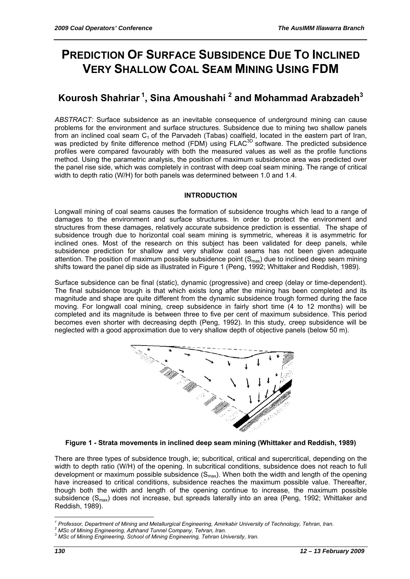# **PREDICTION OF SURFACE SUBSIDENCE DUE TO INCLINED VERY SHALLOW COAL SEAM MINING USING FDM**

# **Kourosh Shahriar 1, Sina Amoushahi 2 and Mohammad Arabzadeh<sup>3</sup>**

*ABSTRACT:* Surface subsidence as an inevitable consequence of underground mining can cause problems for the environment and surface structures. Subsidence due to mining two shallow panels from an inclined coal seam  $C_1$  of the Parvadeh (Tabas) coalfield, located in the eastern part of Iran, was predicted by finite difference method (FDM) using  $F LAC^{3D}$  software. The predicted subsidence profiles were compared favourably with both the measured values as well as the profile functions method. Using the parametric analysis, the position of maximum subsidence area was predicted over the panel rise side, which was completely in contrast with deep coal seam mining. The range of critical width to depth ratio (W/H) for both panels was determined between 1.0 and 1.4.

## **INTRODUCTION**

Longwall mining of coal seams causes the formation of subsidence troughs which lead to a range of damages to the environment and surface structures. In order to protect the environment and structures from these damages, relatively accurate subsidence prediction is essential. The shape of subsidence trough due to horizontal coal seam mining is symmetric, whereas it is asymmetric for inclined ones. Most of the research on this subject has been validated for deep panels, while subsidence prediction for shallow and very shallow coal seams has not been given adequate attention. The position of maximum possible subsidence point  $(S<sub>max</sub>)$  due to inclined deep seam mining shifts toward the panel dip side as illustrated in Figure 1 (Peng, 1992; Whittaker and Reddish, 1989).

Surface subsidence can be final (static), dynamic (progressive) and creep (delay or time-dependent). The final subsidence trough is that which exists long after the mining has been completed and its magnitude and shape are quite different from the dynamic subsidence trough formed during the face moving. For longwall coal mining, creep subsidence in fairly short time (4 to 12 months) will be completed and its magnitude is between three to five per cent of maximum subsidence. This period becomes even shorter with decreasing depth (Peng, 1992). In this study, creep subsidence will be neglected with a good approximation due to very shallow depth of objective panels (below 50 m).



#### **Figure 1 - Strata movements in inclined deep seam mining (Whittaker and Reddish, 1989)**

There are three types of subsidence trough, ie; subcritical, critical and supercritical, depending on the width to depth ratio (W/H) of the opening. In subcritical conditions, subsidence does not reach to full development or maximum possible subsidence  $(S_{\text{max}})$ . When both the width and length of the opening have increased to critical conditions, subsidence reaches the maximum possible value. Thereafter, though both the width and length of the opening continue to increase, the maximum possible subsidence (S<sub>max</sub>) does not increase, but spreads laterally into an area (Peng, 1992; Whittaker and Reddish, 1989).

 $\overline{a}$ *<sup>1</sup> Professor, Department of Mining and Metallurgical Engineering, Amirkabir University of Technology, Tehran, Iran. 2 MSc of Mining Engineering, Azhhand Tunnel Company, Tehran, Iran.* 

<sup>&</sup>lt;sup>3</sup> MSc of Mining Engineering, School of Mining Engineering, Tehran University, Iran.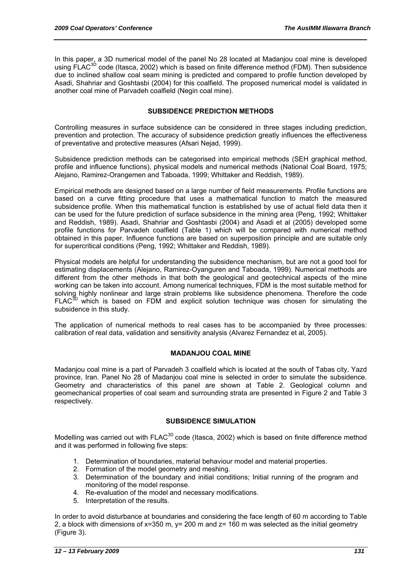In this paper, a 3D numerical model of the panel No 28 located at Madanjou coal mine is developed using FLAC<sup>3D</sup> code (Itasca, 2002) which is based on finite difference method (FDM). Then subsidence due to inclined shallow coal seam mining is predicted and compared to profile function developed by Asadi, Shahriar and Goshtasbi (2004) for this coalfield. The proposed numerical model is validated in another coal mine of Parvadeh coalfield (Negin coal mine).

#### **SUBSIDENCE PREDICTION METHODS**

Controlling measures in surface subsidence can be considered in three stages including prediction, prevention and protection. The accuracy of subsidence prediction greatly influences the effectiveness of preventative and protective measures (Afsari Nejad, 1999).

Subsidence prediction methods can be categorised into empirical methods (SEH graphical method, profile and influence functions), physical models and numerical methods (National Coal Board, 1975; Alejano, Ramirez-Orangemen and Taboada, 1999; Whittaker and Reddish, 1989).

Empirical methods are designed based on a large number of field measurements. Profile functions are based on a curve fitting procedure that uses a mathematical function to match the measured subsidence profile. When this mathematical function is established by use of actual field data then it can be used for the future prediction of surface subsidence in the mining area (Peng, 1992; Whittaker and Reddish, 1989). Asadi, Shahriar and Goshtasbi (2004) and Asadi et al (2005) developed some profile functions for Parvadeh coalfield (Table 1) which will be compared with numerical method obtained in this paper. Influence functions are based on superposition principle and are suitable only for supercritical conditions (Peng, 1992; Whittaker and Reddish, 1989).

Physical models are helpful for understanding the subsidence mechanism, but are not a good tool for estimating displacements (Alejano, Ramirez-Oyanguren and Taboada, 1999). Numerical methods are different from the other methods in that both the geological and geotechnical aspects of the mine working can be taken into account. Among numerical techniques, FDM is the most suitable method for solving highly nonlinear and large strain problems like subsidence phenomena. Therefore the code  $F L AC^{3D}$  which is based on FDM and explicit solution technique was chosen for simulating the subsidence in this study.

The application of numerical methods to real cases has to be accompanied by three processes: calibration of real data, validation and sensitivity analysis (Alvarez Fernandez et al, 2005).

#### **MADANJOU COAL MINE**

Madanjou coal mine is a part of Parvadeh 3 coalfield which is located at the south of Tabas city, Yazd province, Iran. Panel No 28 of Madanjou coal mine is selected in order to simulate the subsidence. Geometry and characteristics of this panel are shown at Table 2. Geological column and geomechanical properties of coal seam and surrounding strata are presented in Figure 2 and Table 3 respectively.

#### **SUBSIDENCE SIMULATION**

Modelling was carried out with FLAC<sup>3D</sup> code (Itasca, 2002) which is based on finite difference method and it was performed in following five steps:

- 1. Determination of boundaries, material behaviour model and material properties.
- 2. Formation of the model geometry and meshing.
- 3. Determination of the boundary and initial conditions; Initial running of the program and monitoring of the model response.
- 4. Re-evaluation of the model and necessary modifications.
- 5. Interpretation of the results.

In order to avoid disturbance at boundaries and considering the face length of 60 m according to Table 2, a block with dimensions of  $x=350$  m,  $y=200$  m and  $z=160$  m was selected as the initial geometry (Figure 3).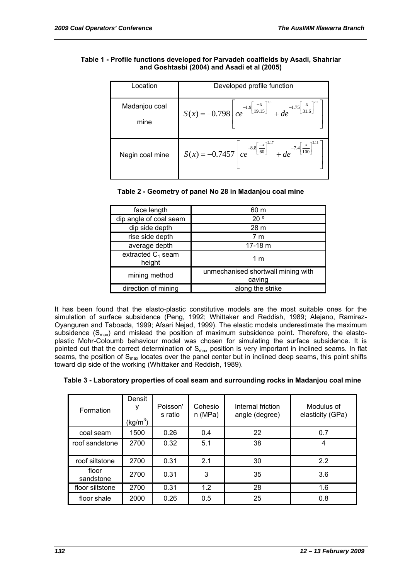#### **Table 1 - Profile functions developed for Parvadeh coalfields by Asadi, Shahriar and Goshtasbi (2004) and Asadi et al (2005)**

| Location              | Developed profile function                                                                                                  |
|-----------------------|-----------------------------------------------------------------------------------------------------------------------------|
| Madanjou coal<br>mine | $S(x) = -0.798 \left[ ce^{-1.9 \left[\frac{-x}{19.15}\right]^{2.1}} + de^{-1.75 \left[\frac{x}{31.6}\right]^{2.2}} \right]$ |
| Negin coal mine       | $S(x) = -0.7457 \left[ ce^{-8.8 \left[\frac{-x}{60}\right]^{2.17}} + de^{-7.4 \left[\frac{x}{100}\right]^{2.11}} \right]$   |

### **Table 2 - Geometry of panel No 28 in Madanjou coal mine**

| face length                    | 60 m                                         |
|--------------------------------|----------------------------------------------|
| dip angle of coal seam         | 20°                                          |
| dip side depth                 | 28 m                                         |
| rise side depth                | 7 m                                          |
| average depth                  | $17-18$ m                                    |
| extracted $C_1$ seam<br>height | 1 <sub>m</sub>                               |
| mining method                  | unmechanised shortwall mining with<br>caving |
| direction of mining            | along the strike                             |

It has been found that the elasto-plastic constitutive models are the most suitable ones for the simulation of surface subsidence (Peng, 1992; Whittaker and Reddish, 1989; Alejano, Ramirez-Oyanguren and Taboada, 1999; Afsari Nejad, 1999). The elastic models underestimate the maximum subsidence  $(S_{max})$  and mislead the position of maximum subsidence point. Therefore, the elastoplastic Mohr-Coloumb behaviour model was chosen for simulating the surface subsidence. It is pointed out that the correct determination of S<sub>max</sub> position is very important in inclined seams. In flat seams, the position of  $S<sub>max</sub>$  locates over the panel center but in inclined deep seams, this point shifts toward dip side of the working (Whittaker and Reddish, 1989).

|  |  |  | Table 3 - Laboratory properties of coal seam and surrounding rocks in Madanjou coal mine |  |
|--|--|--|------------------------------------------------------------------------------------------|--|
|--|--|--|------------------------------------------------------------------------------------------|--|

| Formation          | Densit<br>(kg/m <sup>3</sup> ) | Poisson'<br>s ratio | Cohesio<br>n(MPa) | Internal friction<br>angle (degree) | Modulus of<br>elasticity (GPa) |
|--------------------|--------------------------------|---------------------|-------------------|-------------------------------------|--------------------------------|
| coal seam          | 1500                           | 0.26                | 0.4               | 22                                  | 0.7                            |
| roof sandstone     | 2700                           | 0.32                | 5.1               | 38                                  | 4                              |
| roof siltstone     | 2700                           | 0.31                | 2.1               | 30                                  | 2.2                            |
| floor<br>sandstone | 2700                           | 0.31                | 3                 | 35                                  | 3.6                            |
| floor siltstone    | 2700                           | 0.31                | 1.2               | 28                                  | 1.6                            |
| floor shale        | 2000                           | 0.26                | 0.5               | 25                                  | 0.8                            |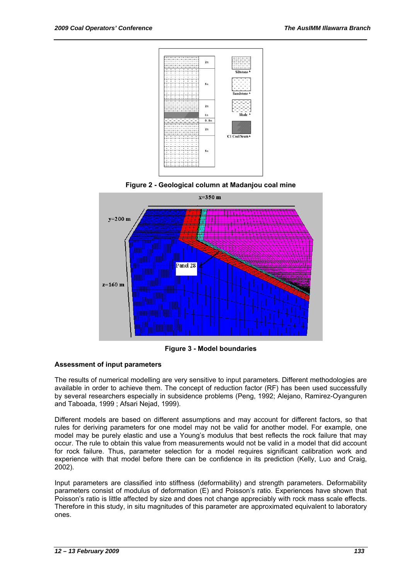





**Figure 3 - Model boundaries** 

#### **Assessment of input parameters**

The results of numerical modelling are very sensitive to input parameters. Different methodologies are available in order to achieve them. The concept of reduction factor (RF) has been used successfully by several researchers especially in subsidence problems (Peng, 1992; Alejano, Ramirez-Oyanguren and Taboada, 1999 ; Afsari Nejad, 1999).

Different models are based on different assumptions and may account for different factors, so that rules for deriving parameters for one model may not be valid for another model. For example, one model may be purely elastic and use a Young's modulus that best reflects the rock failure that may occur. The rule to obtain this value from measurements would not be valid in a model that did account for rock failure. Thus, parameter selection for a model requires significant calibration work and experience with that model before there can be confidence in its prediction (Kelly, Luo and Craig, 2002).

Input parameters are classified into stiffness (deformability) and strength parameters. Deformability parameters consist of modulus of deformation (E) and Poisson's ratio. Experiences have shown that Poisson's ratio is little affected by size and does not change appreciably with rock mass scale effects. Therefore in this study, in situ magnitudes of this parameter are approximated equivalent to laboratory ones.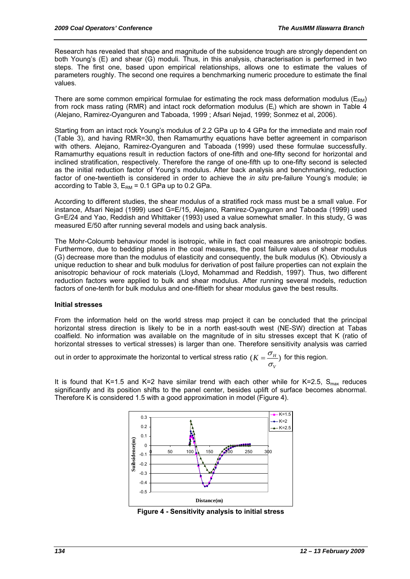Research has revealed that shape and magnitude of the subsidence trough are strongly dependent on both Young's (E) and shear (G) moduli. Thus, in this analysis, characterisation is performed in two steps. The first one, based upon empirical relationships, allows one to estimate the values of parameters roughly. The second one requires a benchmarking numeric procedure to estimate the final values.

There are some common empirical formulae for estimating the rock mass deformation modulus ( $E_{RM}$ ) from rock mass rating (RMR) and intact rock deformation modulus (E<sub>i</sub>) which are shown in Table 4 (Alejano, Ramirez-Oyanguren and Taboada, 1999 ; Afsari Nejad, 1999; Sonmez et al, 2006).

Starting from an intact rock Young's modulus of 2.2 GPa up to 4 GPa for the immediate and main roof (Table 3), and having RMR=30, then Ramamurthy equations have better agreement in comparison with others. Alejano, Ramirez-Oyanguren and Taboada (1999) used these formulae successfully. Ramamurthy equations result in reduction factors of one-fifth and one-fifty second for horizontal and inclined stratification, respectively. Therefore the range of one-fifth up to one-fifty second is selected as the initial reduction factor of Young's modulus. After back analysis and benchmarking, reduction factor of one-twentieth is considered in order to achieve the *in situ* pre-failure Young's module; ie according to Table 3,  $E_{RM}$  = 0.1 GPa up to 0.2 GPa.

According to different studies, the shear modulus of a stratified rock mass must be a small value. For instance, Afsari Nejad (1999) used G=E/15, Alejano, Ramirez-Oyanguren and Taboada (1999) used G=E/24 and Yao, Reddish and Whittaker (1993) used a value somewhat smaller. In this study, G was measured E/50 after running several models and using back analysis.

The Mohr-Coloumb behaviour model is isotropic, while in fact coal measures are anisotropic bodies. Furthermore, due to bedding planes in the coal measures, the post failure values of shear modulus (G) decrease more than the modulus of elasticity and consequently, the bulk modulus (K). Obviously a unique reduction to shear and bulk modulus for derivation of post failure properties can not explain the anisotropic behaviour of rock materials (Lloyd, Mohammad and Reddish, 1997). Thus, two different reduction factors were applied to bulk and shear modulus. After running several models, reduction factors of one-tenth for bulk modulus and one-fiftieth for shear modulus gave the best results.

#### **Initial stresses**

From the information held on the world stress map project it can be concluded that the principal horizontal stress direction is likely to be in a north east-south west (NE-SW) direction at Tabas coalfield. No information was available on the magnitude of in situ stresses except that K (ratio of horizontal stresses to vertical stresses) is larger than one. Therefore sensitivity analysis was carried

out in order to approximate the horizontal to vertical stress ratio  $\mathcal{L}(K = \frac{O_H}{N})$ *V*  $K = \frac{\sigma_H}{\sigma_H}$  $=\frac{\sigma_{H}}{2}$ ) for this region.

It is found that K=1.5 and K=2 have similar trend with each other while for K=2.5,  $S_{\text{max}}$  reduces significantly and its position shifts to the panel center, besides uplift of surface becomes abnormal. Therefore K is considered 1.5 with a good approximation in model (Figure 4).



**Figure 4 - Sensitivity analysis to initial stress**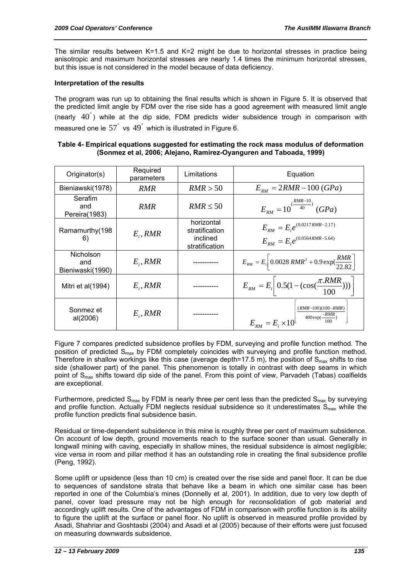The similar results between  $K=1.5$  and  $K=2$  might be due to horizontal stresses in practice being anisotropic and maximum horizontal stresses are nearly 1.4 times the minimum horizontal stresses, but this issue is not considered in the model because of data deficiency.

#### **Interpretation of the results**

The program was run up to obtaining the final results which is shown in Figure 5. It is observed that the predicted limit angle by FDM over the rise side has a good agreement with measured limit angle (nearly  $40^{\degree}$ ) while at the dip side, FDM predicts wider subsidence trough in comparison with measured one ie  $57^{\degree}$  vs  $49^{\degree}$  which is illustrated in Figure 6.

#### **Table 4- Empirical equations suggested for estimating the rock mass modulus of deformation (Sonmez et al, 2006; Alejano, Ramirez-Oyanguren and Taboada, 1999)**

| Originator(s)                        | Required<br>parameters | Limitations                                                | Equation                                                                                 |
|--------------------------------------|------------------------|------------------------------------------------------------|------------------------------------------------------------------------------------------|
| Bieniawski(1978)                     | <i>RMR</i>             | RMR > 50                                                   | $E_{RM} = 2RMR - 100(GPa)$                                                               |
| Serafim<br>and<br>Pereira(1983)      | RMR                    | $RMR \leq 50$                                              | $E_{BM} = 10^{(\frac{\Lambda W R - 10}{40})} (GPa)$                                      |
| Ramamurthy(198<br>6)                 | $E_i, RMR$             | horizontal<br>stratification<br>inclined<br>stratification | $E_{RM} = E_i e^{(0.0217 RMR - 2.17)}$<br>$E_{BM} = E_i e^{(0.0564 RMR - 5.64)}$         |
| Nicholson<br>and<br>Bieniwaski(1990) | $E_i, RMR$             |                                                            | $E_{RM} = E_i \left[ 0.0028 \text{ RMR}^2 + 0.9 \text{ exp}(\frac{RMR}{22.82}) \right]$  |
| Mitri et al(1994)                    | $E_i$ , RMR            |                                                            | $E_{RM} = E_i \bigg( 0.5(1 - (\cos(\frac{\pi.RMR}{100}))) \bigg)$                        |
| Sonmez et<br>al(2006)                | $E_i, RMR$             |                                                            | $(RMR-100)(100-RMR)$<br>$400 \exp(\frac{-RMR}{100})$<br>$E_{RM} = E_i \times 10^{\vert}$ |

Figure 7 compares predicted subsidence profiles by FDM, surveying and profile function method. The position of predicted S<sub>max</sub> by FDM completely coincides with surveying and profile function method. Therefore in shallow workings like this case (average depth=17.5 m), the position of  $S<sub>max</sub>$  shifts to rise side (shallower part) of the panel. This phenomenon is totally in contrast with deep seams in which point of  $S<sub>max</sub>$  shifts toward dip side of the panel. From this point of view, Parvadeh (Tabas) coalfields are exceptional.

Furthermore, predicted  $S_{\text{max}}$  by FDM is nearly three per cent less than the predicted  $S_{\text{max}}$  by surveying and profile function. Actually FDM neglects residual subsidence so it underestimates  $S<sub>max</sub>$  while the profile function predicts final subsidence basin.

Residual or time-dependent subsidence in this mine is roughly three per cent of maximum subsidence. On account of low depth, ground movements reach to the surface sooner than usual. Generally in longwall mining with caving, especially in shallow mines, the residual subsidence is almost negligible; vice versa in room and pillar method it has an outstanding role in creating the final subsidence profile (Peng, 1992).

Some uplift or upsidence (less than 10 cm) is created over the rise side and panel floor. It can be due to sequences of sandstone strata that behave like a beam in which one similar case has been reported in one of the Columbia's mines (Donnelly et al, 2001). In addition, due to very low depth of panel, cover load pressure may not be high enough for reconsolidation of gob material and accordingly uplift results. One of the advantages of FDM in comparison with profile function is its ability to figure the uplift at the surface or panel floor. No uplift is observed in measured profile provided by Asadi, Shahriar and Goshtasbi (2004) and Asadi et al (2005) because of their efforts were just focused on measuring downwards subsidence.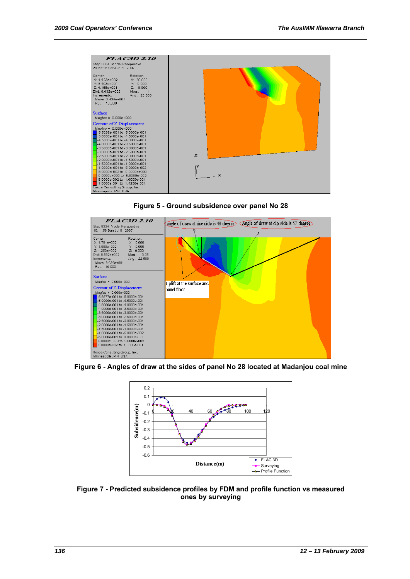





**Figure 6 - Angles of draw at the sides of panel No 28 located at Madanjou coal mine** 



**Figure 7 - Predicted subsidence profiles by FDM and profile function vs measured ones by surveying**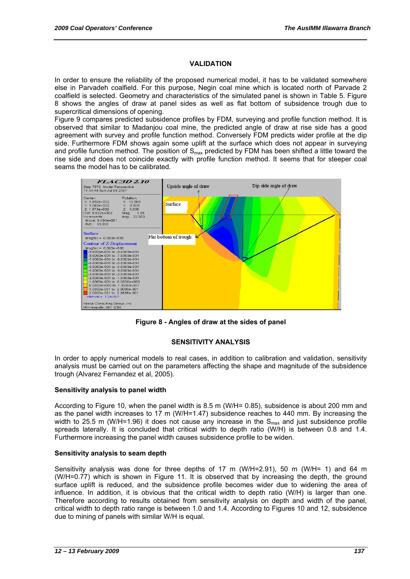#### **VALIDATION**

In order to ensure the reliability of the proposed numerical model, it has to be validated somewhere else in Parvadeh coalfield. For this purpose, Negin coal mine which is located north of Parvade 2 coalfield is selected. Geometry and characteristics of the simulated panel is shown in Table 5. Figure 8 shows the angles of draw at panel sides as well as flat bottom of subsidence trough due to supercritical dimensions of opening.

Figure 9 compares predicted subsidence profiles by FDM, surveying and profile function method. It is observed that similar to Madanjou coal mine, the predicted angle of draw at rise side has a good agreement with survey and profile function method. Conversely FDM predicts wider profile at the dip side. Furthermore FDM shows again some uplift at the surface which does not appear in surveying and profile function method. The position of  $S<sub>max</sub>$  predicted by FDM has been shifted a little toward the rise side and does not coincide exactly with profile function method. It seems that for steeper coal seams the model has to be calibrated.



**Figure 8 - Angles of draw at the sides of panel** 

#### **SENSITIVITY ANALYSIS**

In order to apply numerical models to real cases, in addition to calibration and validation, sensitivity analysis must be carried out on the parameters affecting the shape and magnitude of the subsidence trough (Alvarez Fernandez et al, 2005).

#### **Sensitivity analysis to panel width**

According to Figure 10, when the panel width is 8.5 m (W/H= 0.85), subsidence is about 200 mm and as the panel width increases to 17 m (W/H=1.47) subsidence reaches to 440 mm. By increasing the width to 25.5 m (W/H=1.96) it does not cause any increase in the  $S_{\text{max}}$  and just subsidence profile spreads laterally. It is concluded that critical width to depth ratio (W/H) is between 0.8 and 1.4. Furthermore increasing the panel width causes subsidence profile to be widen.

#### **Sensitivity analysis to seam depth**

Sensitivity analysis was done for three depths of 17 m (W/H=2.91), 50 m (W/H= 1) and 64 m (W/H=0.77) which is shown in Figure 11. It is observed that by increasing the depth, the ground surface uplift is reduced, and the subsidence profile becomes wider due to widening the area of influence. In addition, it is obvious that the critical width to depth ratio (W/H) is larger than one. Therefore according to results obtained from sensitivity analysis on depth and width of the panel, critical width to depth ratio range is between 1.0 and 1.4. According to Figures 10 and 12, subsidence due to mining of panels with similar W/H is equal.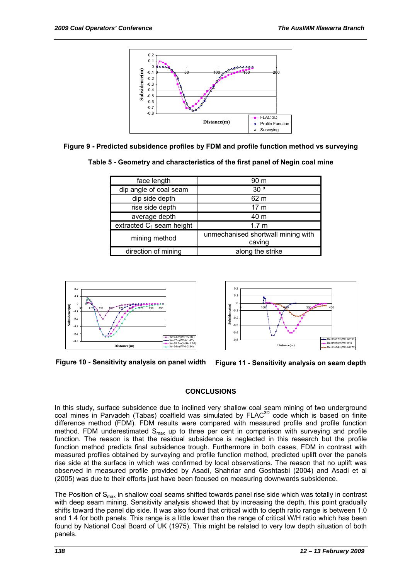

**Figure 9 - Predicted subsidence profiles by FDM and profile function method vs surveying** 

| Table 5 - Geometry and characteristics of the first panel of Negin coal mine |  |  |
|------------------------------------------------------------------------------|--|--|
|------------------------------------------------------------------------------|--|--|

| face length                 | 90 m                                         |  |
|-----------------------------|----------------------------------------------|--|
| dip angle of coal seam      | 30 <sup>o</sup>                              |  |
| dip side depth              | 62 m                                         |  |
| rise side depth             | 17 <sub>m</sub>                              |  |
| average depth               | 40 m                                         |  |
| extracted $C_1$ seam height | 1.7 <sub>m</sub>                             |  |
| mining method               | unmechanised shortwall mining with<br>caving |  |
| direction of mining         | along the strike                             |  |





**Figure 10 - Sensitivity analysis on panel width** 

**Figure 11 - Sensitivity analysis on seam depth** 

#### **CONCLUSIONS**

In this study, surface subsidence due to inclined very shallow coal seam mining of two underground coal mines in Parvadeh (Tabas) coalfield was simulated by FLAC<sup>3D</sup> code which is based on finite difference method (FDM). FDM results were compared with measured profile and profile function method. FDM underestimated  $S_{max}$  up to three per cent in comparison with surveying and profile function. The reason is that the residual subsidence is neglected in this research but the profile function method predicts final subsidence trough. Furthermore in both cases, FDM in contrast with measured profiles obtained by surveying and profile function method, predicted uplift over the panels rise side at the surface in which was confirmed by local observations. The reason that no uplift was observed in measured profile provided by Asadi, Shahriar and Goshtasbi (2004) and Asadi et al (2005) was due to their efforts just have been focused on measuring downwards subsidence.

The Position of  $S<sub>max</sub>$  in shallow coal seams shifted towards panel rise side which was totally in contrast with deep seam mining. Sensitivity analysis showed that by increasing the depth, this point gradually shifts toward the panel dip side. It was also found that critical width to depth ratio range is between 1.0 and 1.4 for both panels. This range is a little lower than the range of critical W/H ratio which has been found by National Coal Board of UK (1975). This might be related to very low depth situation of both panels.